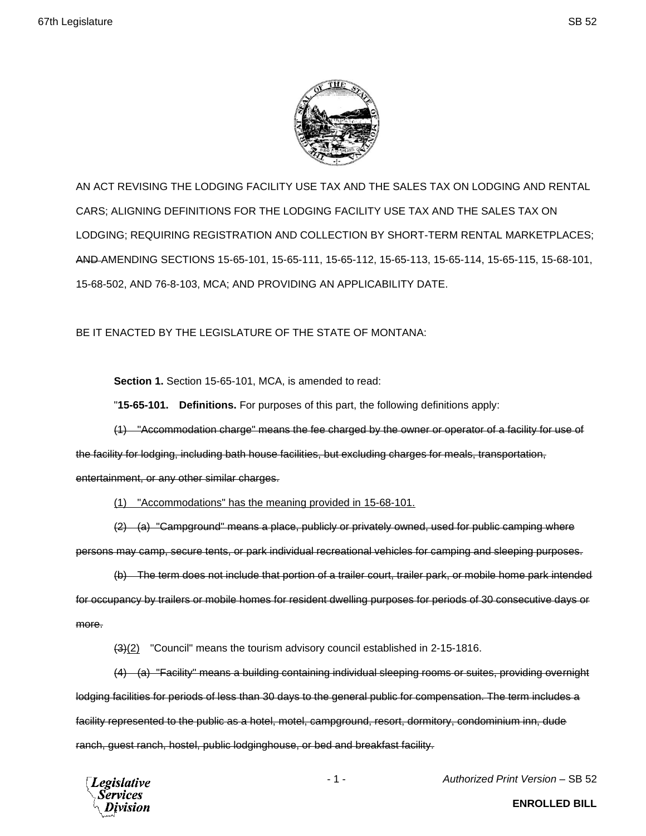

AN ACT REVISING THE LODGING FACILITY USE TAX AND THE SALES TAX ON LODGING AND RENTAL CARS; ALIGNING DEFINITIONS FOR THE LODGING FACILITY USE TAX AND THE SALES TAX ON LODGING; REQUIRING REGISTRATION AND COLLECTION BY SHORT-TERM RENTAL MARKETPLACES; AND AMENDING SECTIONS 15-65-101, 15-65-111, 15-65-112, 15-65-113, 15-65-114, 15-65-115, 15-68-101, 15-68-502, AND 76-8-103, MCA; AND PROVIDING AN APPLICABILITY DATE.

BE IT ENACTED BY THE LEGISLATURE OF THE STATE OF MONTANA:

**Section 1.** Section 15-65-101, MCA, is amended to read:

"**15-65-101. Definitions.** For purposes of this part, the following definitions apply:

(1) "Accommodation charge" means the fee charged by the owner or operator of a facility for use of the facility for lodging, including bath house facilities, but excluding charges for meals, transportation, entertainment, or any other similar charges.

(1) "Accommodations" has the meaning provided in 15-68-101.

(2) (a) "Campground" means a place, publicly or privately owned, used for public camping where persons may camp, secure tents, or park individual recreational vehicles for camping and sleeping purposes.

(b) The term does not include that portion of a trailer court, trailer park, or mobile home park intended for occupancy by trailers or mobile homes for resident dwelling purposes for periods of 30 consecutive days or more.

(3)(2) "Council" means the tourism advisory council established in 2-15-1816.

(4) (a) "Facility" means a building containing individual sleeping rooms or suites, providing overnight lodging facilities for periods of less than 30 days to the general public for compensation. The term includes a facility represented to the public as a hotel, motel, campground, resort, dormitory, condominium inn, dude ranch, guest ranch, hostel, public lodginghouse, or bed and breakfast facility.

egislative

- 1 - *Authorized Print Version* – SB 52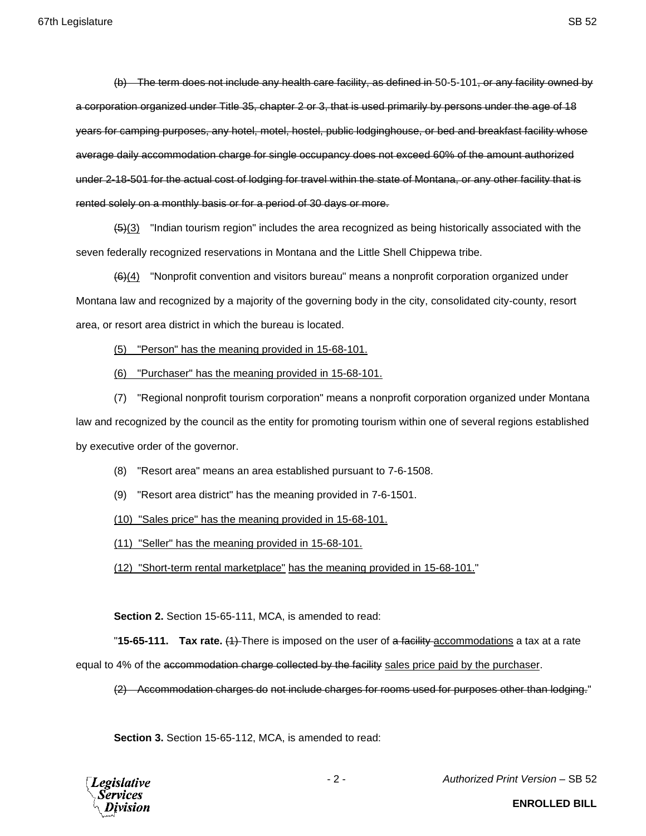(b) The term does not include any health care facility, as defined in 50-5-101, or any facility owned by a corporation organized under Title 35, chapter 2 or 3, that is used primarily by persons under the age of 18 years for camping purposes, any hotel, motel, hostel, public lodginghouse, or bed and breakfast facility whose average daily accommodation charge for single occupancy does not exceed 60% of the amount authorized under 2-18-501 for the actual cost of lodging for travel within the state of Montana, or any other facility that is rented solely on a monthly basis or for a period of 30 days or more.

 $\left(\frac{5}{3}\right)$  "Indian tourism region" includes the area recognized as being historically associated with the seven federally recognized reservations in Montana and the Little Shell Chippewa tribe.

(6)(4) "Nonprofit convention and visitors bureau" means a nonprofit corporation organized under Montana law and recognized by a majority of the governing body in the city, consolidated city-county, resort area, or resort area district in which the bureau is located.

(5) "Person" has the meaning provided in 15-68-101.

(6) "Purchaser" has the meaning provided in 15-68-101.

(7) "Regional nonprofit tourism corporation" means a nonprofit corporation organized under Montana law and recognized by the council as the entity for promoting tourism within one of several regions established by executive order of the governor.

(8) "Resort area" means an area established pursuant to 7-6-1508.

(9) "Resort area district" has the meaning provided in 7-6-1501.

(10) "Sales price" has the meaning provided in 15-68-101.

(11) "Seller" has the meaning provided in 15-68-101.

(12) "Short-term rental marketplace" has the meaning provided in 15-68-101."

**Section 2.** Section 15-65-111, MCA, is amended to read:

"**15-65-111. Tax rate.** (1) There is imposed on the user of a facility accommodations a tax at a rate

equal to 4% of the accommodation charge collected by the facility sales price paid by the purchaser.

(2) Accommodation charges do not include charges for rooms used for purposes other than lodging."

**Section 3.** Section 15-65-112, MCA, is amended to read:

**Legislative** Services ivision - 2 - *Authorized Print Version* – SB 52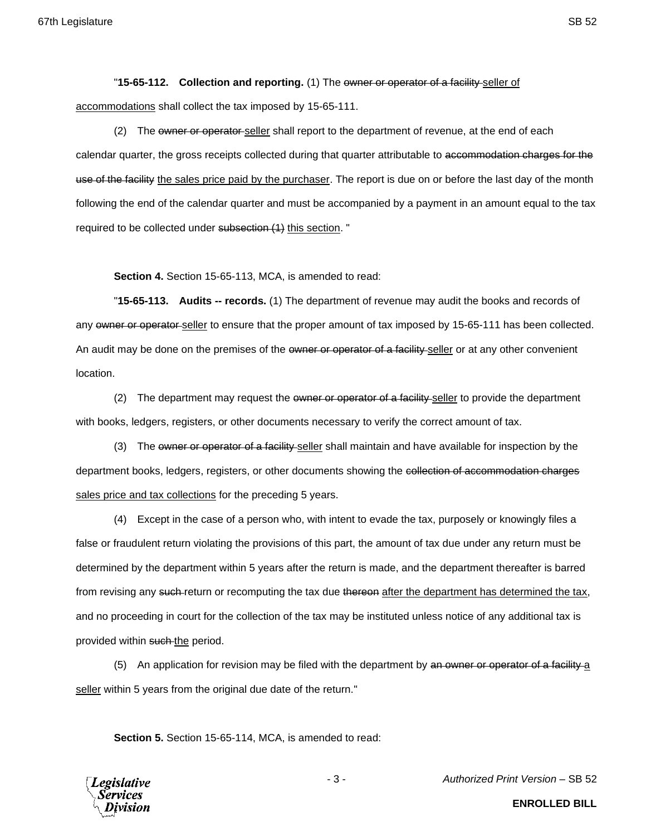"**15-65-112. Collection and reporting.** (1) The owner or operator of a facility seller of accommodations shall collect the tax imposed by 15-65-111.

(2) The owner or operator-seller shall report to the department of revenue, at the end of each calendar quarter, the gross receipts collected during that quarter attributable to accommodation charges for the use of the facility the sales price paid by the purchaser. The report is due on or before the last day of the month following the end of the calendar quarter and must be accompanied by a payment in an amount equal to the tax required to be collected under subsection (1) this section. "

**Section 4.** Section 15-65-113, MCA, is amended to read:

"**15-65-113. Audits -- records.** (1) The department of revenue may audit the books and records of any owner or operator seller to ensure that the proper amount of tax imposed by 15-65-111 has been collected. An audit may be done on the premises of the owner or operator of a facility seller or at any other convenient location.

(2) The department may request the owner or operator of a facility seller to provide the department with books, ledgers, registers, or other documents necessary to verify the correct amount of tax.

(3) The owner or operator of a facility-seller shall maintain and have available for inspection by the department books, ledgers, registers, or other documents showing the collection of accommodation charges sales price and tax collections for the preceding 5 years.

(4) Except in the case of a person who, with intent to evade the tax, purposely or knowingly files a false or fraudulent return violating the provisions of this part, the amount of tax due under any return must be determined by the department within 5 years after the return is made, and the department thereafter is barred from revising any such return or recomputing the tax due thereon after the department has determined the tax, and no proceeding in court for the collection of the tax may be instituted unless notice of any additional tax is provided within such the period.

(5) An application for revision may be filed with the department by an owner or operator of a facility a seller within 5 years from the original due date of the return."

**Section 5.** Section 15-65-114, MCA, is amended to read:

**Legislative** Services

- 3 - *Authorized Print Version* – SB 52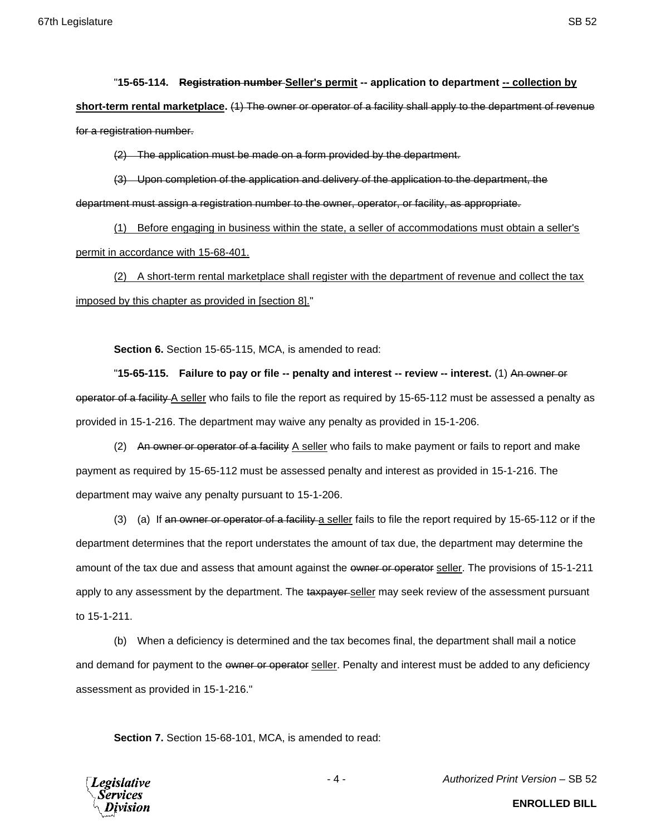# "**15-65-114. Registration number Seller's permit -- application to department -- collection by**

**short-term rental marketplace.** (1) The owner or operator of a facility shall apply to the department of revenue for a registration number.

(2) The application must be made on a form provided by the department.

(3) Upon completion of the application and delivery of the application to the department, the department must assign a registration number to the owner, operator, or facility, as appropriate.

(1) Before engaging in business within the state, a seller of accommodations must obtain a seller's permit in accordance with 15-68-401.

(2) A short-term rental marketplace shall register with the department of revenue and collect the tax imposed by this chapter as provided in [section 8]."

**Section 6.** Section 15-65-115, MCA, is amended to read:

"**15-65-115. Failure to pay or file -- penalty and interest -- review -- interest.** (1) An owner or operator of a facility A seller who fails to file the report as required by 15-65-112 must be assessed a penalty as provided in 15-1-216. The department may waive any penalty as provided in 15-1-206.

(2) An owner or operator of a facility A seller who fails to make payment or fails to report and make payment as required by 15-65-112 must be assessed penalty and interest as provided in 15-1-216. The department may waive any penalty pursuant to 15-1-206.

(3) (a) If an owner or operator of a facility a seller fails to file the report required by 15-65-112 or if the department determines that the report understates the amount of tax due, the department may determine the amount of the tax due and assess that amount against the owner or operator seller. The provisions of 15-1-211 apply to any assessment by the department. The taxpayer seller may seek review of the assessment pursuant to 15-1-211.

(b) When a deficiency is determined and the tax becomes final, the department shall mail a notice and demand for payment to the owner or operator seller. Penalty and interest must be added to any deficiency assessment as provided in 15-1-216."

**Section 7.** Section 15-68-101, MCA, is amended to read:

**Legislative** *Services* Division

**ENROLLED BILL**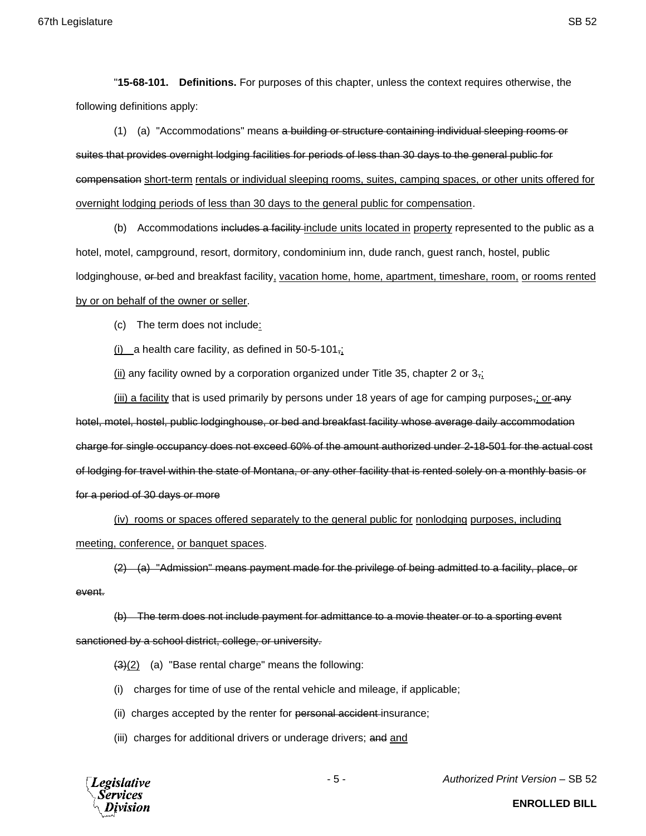"**15-68-101. Definitions.** For purposes of this chapter, unless the context requires otherwise, the following definitions apply:

(1) (a) "Accommodations" means a building or structure containing individual sleeping rooms or suites that provides overnight lodging facilities for periods of less than 30 days to the general public for compensation short-term rentals or individual sleeping rooms, suites, camping spaces, or other units offered for overnight lodging periods of less than 30 days to the general public for compensation.

(b) Accommodations includes a facility-include units located in property represented to the public as a hotel, motel, campground, resort, dormitory, condominium inn, dude ranch, guest ranch, hostel, public lodginghouse, or bed and breakfast facility, vacation home, home, apartment, timeshare, room, or rooms rented by or on behalf of the owner or seller.

(c) The term does not include:

(i) a health care facility, as defined in  $50-5-101$ ;

(ii) any facility owned by a corporation organized under Title 35, chapter 2 or  $3\frac{1}{2}$ ;

(iii) a facility that is used primarily by persons under 18 years of age for camping purposes<sub> $\tau$ </sub>; or any hotel, motel, hostel, public lodginghouse, or bed and breakfast facility whose average daily accommodation charge for single occupancy does not exceed 60% of the amount authorized under 2-18-501 for the actual cost of lodging for travel within the state of Montana, or any other facility that is rented solely on a monthly basis or for a period of 30 days or more

(iv) rooms or spaces offered separately to the general public for nonlodging purposes, including meeting, conference, or banquet spaces.

(2) (a) "Admission" means payment made for the privilege of being admitted to a facility, place, or event.

(b) The term does not include payment for admittance to a movie theater or to a sporting event sanctioned by a school district, college, or university.

 $\left(4\right)(2)$  (a) "Base rental charge" means the following:

(i) charges for time of use of the rental vehicle and mileage, if applicable;

(ii) charges accepted by the renter for personal accident-insurance;

(iii) charges for additional drivers or underage drivers; and and



- 5 - *Authorized Print Version* – SB 52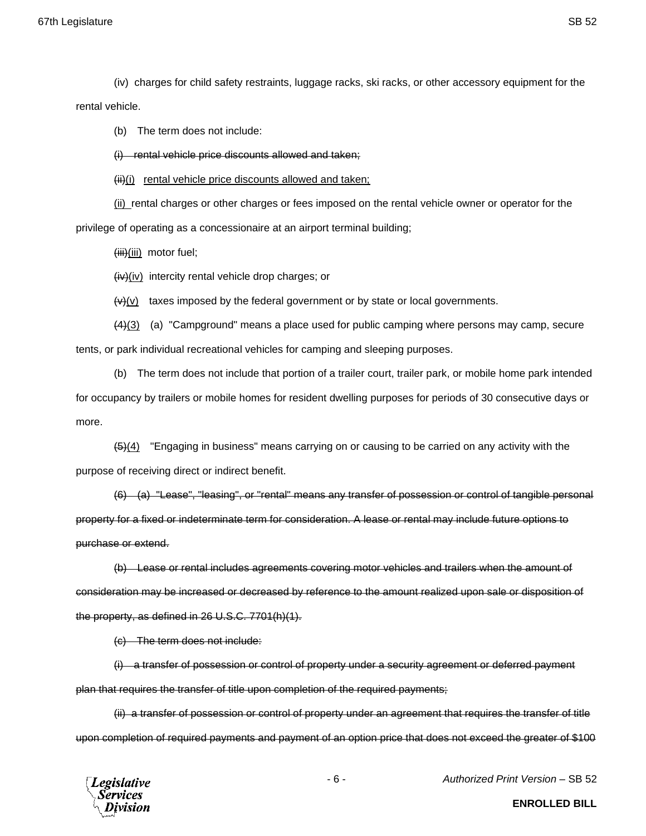67th Legislature SB 52

(iv) charges for child safety restraints, luggage racks, ski racks, or other accessory equipment for the rental vehicle.

(b) The term does not include:

(i) rental vehicle price discounts allowed and taken;

 $(iii)(ii)$  rental vehicle price discounts allowed and taken;

(ii) rental charges or other charges or fees imposed on the rental vehicle owner or operator for the privilege of operating as a concessionaire at an airport terminal building;

 $(iii)(iii)$  motor fuel;

 $(iv)(iv)$  intercity rental vehicle drop charges; or

 $\leftrightarrow$  (v) taxes imposed by the federal government or by state or local governments.

 $(4)(3)$  (a) "Campground" means a place used for public camping where persons may camp, secure tents, or park individual recreational vehicles for camping and sleeping purposes.

(b) The term does not include that portion of a trailer court, trailer park, or mobile home park intended for occupancy by trailers or mobile homes for resident dwelling purposes for periods of 30 consecutive days or more.

 $\frac{45}{4}$  "Engaging in business" means carrying on or causing to be carried on any activity with the purpose of receiving direct or indirect benefit.

(6) (a) "Lease", "leasing", or "rental" means any transfer of possession or control of tangible personal property for a fixed or indeterminate term for consideration. A lease or rental may include future options to purchase or extend.

(b) Lease or rental includes agreements covering motor vehicles and trailers when the amount of consideration may be increased or decreased by reference to the amount realized upon sale or disposition of the property, as defined in 26 U.S.C. 7701(h)(1).

(c) The term does not include:

(i) a transfer of possession or control of property under a security agreement or deferred payment plan that requires the transfer of title upon completion of the required payments;

(ii) a transfer of possession or control of property under an agreement that requires the transfer of title upon completion of required payments and payment of an option price that does not exceed the greater of \$100



- 6 - *Authorized Print Version* – SB 52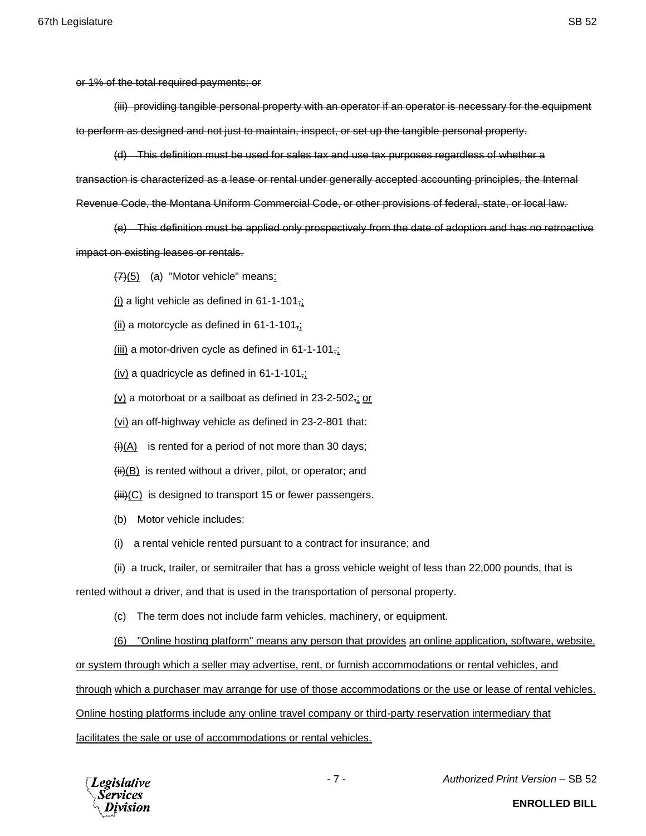or 1% of the total required payments; or

(iii) providing tangible personal property with an operator if an operator is necessary for the equipment to perform as designed and not just to maintain, inspect, or set up the tangible personal property.

(d) This definition must be used for sales tax and use tax purposes regardless of whether a transaction is characterized as a lease or rental under generally accepted accounting principles, the Internal Revenue Code, the Montana Uniform Commercial Code, or other provisions of federal, state, or local law.

(e) This definition must be applied only prospectively from the date of adoption and has no retroactive impact on existing leases or rentals.

 $(7)(5)$  (a) "Motor vehicle" means:

(i) a light vehicle as defined in  $61-1-101$ ;

 $(iii)$  a motorcycle as defined in 61-1-101;

(iii) a motor-driven cycle as defined in  $61-1-101$ <sub>7</sub>;

(iv) a quadricycle as defined in  $61-1-101$ <sub>7</sub>;

 $(v)$  a motorboat or a sailboat as defined in 23-2-502, or

(vi) an off-highway vehicle as defined in 23-2-801 that:

 $(ii)(A)$  is rented for a period of not more than 30 days;

 $(H)$  is rented without a driver, pilot, or operator; and

 $(HH)(C)$  is designed to transport 15 or fewer passengers.

(b) Motor vehicle includes:

(i) a rental vehicle rented pursuant to a contract for insurance; and

(ii) a truck, trailer, or semitrailer that has a gross vehicle weight of less than 22,000 pounds, that is

rented without a driver, and that is used in the transportation of personal property.

(c) The term does not include farm vehicles, machinery, or equipment.

(6) "Online hosting platform" means any person that provides an online application, software, website,

or system through which a seller may advertise, rent, or furnish accommodations or rental vehicles, and

through which a purchaser may arrange for use of those accommodations or the use or lease of rental vehicles.

Online hosting platforms include any online travel company or third-party reservation intermediary that

facilitates the sale or use of accommodations or rental vehicles.



- 7 - *Authorized Print Version* – SB 52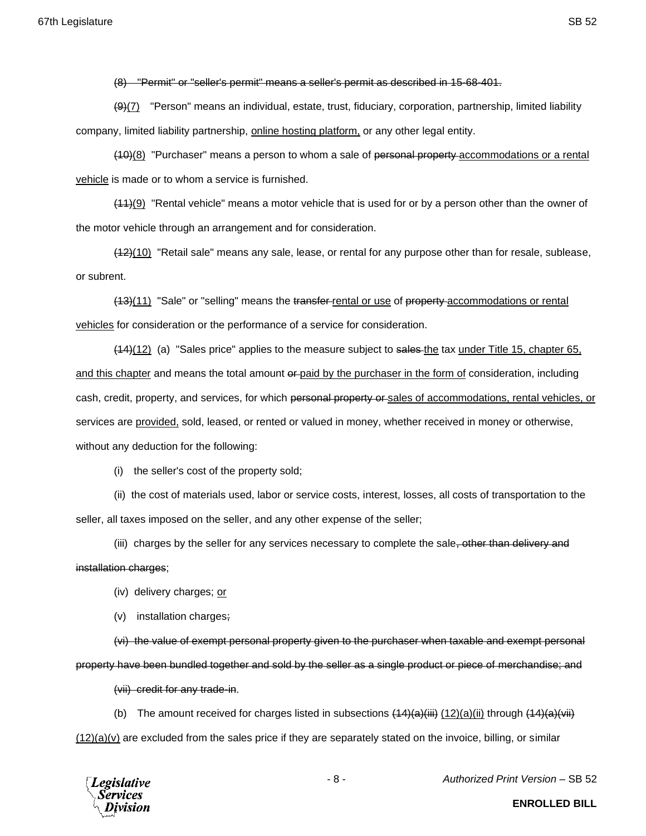(8) "Permit" or "seller's permit" means a seller's permit as described in 15-68-401.

(9)(7) "Person" means an individual, estate, trust, fiduciary, corporation, partnership, limited liability company, limited liability partnership, online hosting platform, or any other legal entity.

(10)(8) "Purchaser" means a person to whom a sale of personal property accommodations or a rental vehicle is made or to whom a service is furnished.

 $(11)(9)$  "Rental vehicle" means a motor vehicle that is used for or by a person other than the owner of the motor vehicle through an arrangement and for consideration.

 $(12)(10)$  "Retail sale" means any sale, lease, or rental for any purpose other than for resale, sublease, or subrent.

(13)(11) "Sale" or "selling" means the transfer rental or use of property accommodations or rental vehicles for consideration or the performance of a service for consideration.

(44)(12) (a) "Sales price" applies to the measure subject to sales the tax under Title 15, chapter 65, and this chapter and means the total amount  $\theta$ -paid by the purchaser in the form of consideration, including cash, credit, property, and services, for which personal property or sales of accommodations, rental vehicles, or services are provided, sold, leased, or rented or valued in money, whether received in money or otherwise, without any deduction for the following:

(i) the seller's cost of the property sold;

(ii) the cost of materials used, labor or service costs, interest, losses, all costs of transportation to the seller, all taxes imposed on the seller, and any other expense of the seller;

(iii) charges by the seller for any services necessary to complete the sale, other than delivery and

#### installation charges;

- (iv) delivery charges; or
- (v) installation charges;

(vi) the value of exempt personal property given to the purchaser when taxable and exempt personal property have been bundled together and sold by the seller as a single product or piece of merchandise; and

(vii) credit for any trade-in.

(b) The amount received for charges listed in subsections  $(14)(a)(iii)$   $(12)(a)(ii)$  through  $(14)(a)(iii)$  $(12)(a)(v)$  are excluded from the sales price if they are separately stated on the invoice, billing, or similar



- 8 - *Authorized Print Version* – SB 52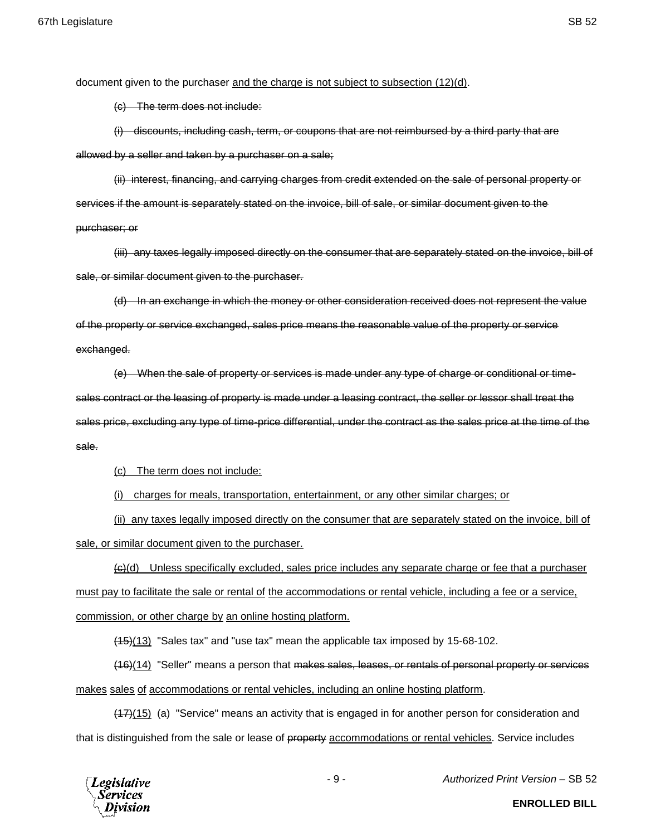document given to the purchaser and the charge is not subject to subsection (12)(d).

(c) The term does not include:

(i) discounts, including cash, term, or coupons that are not reimbursed by a third party that are allowed by a seller and taken by a purchaser on a sale;

(ii) interest, financing, and carrying charges from credit extended on the sale of personal property or services if the amount is separately stated on the invoice, bill of sale, or similar document given to the purchaser; or

(iii) any taxes legally imposed directly on the consumer that are separately stated on the invoice, bill of sale, or similar document given to the purchaser.

(d) In an exchange in which the money or other consideration received does not represent the value of the property or service exchanged, sales price means the reasonable value of the property or service exchanged.

(e) When the sale of property or services is made under any type of charge or conditional or timesales contract or the leasing of property is made under a leasing contract, the seller or lessor shall treat the sales price, excluding any type of time-price differential, under the contract as the sales price at the time of the sale.

(c) The term does not include:

(i) charges for meals, transportation, entertainment, or any other similar charges; or

(ii) any taxes legally imposed directly on the consumer that are separately stated on the invoice, bill of sale, or similar document given to the purchaser.

 $\left\langle \Theta \right\rangle$ (d) Unless specifically excluded, sales price includes any separate charge or fee that a purchaser must pay to facilitate the sale or rental of the accommodations or rental vehicle, including a fee or a service, commission, or other charge by an online hosting platform.

(15)(13) "Sales tax" and "use tax" mean the applicable tax imposed by 15-68-102.

(16)(14) "Seller" means a person that makes sales, leases, or rentals of personal property or services makes sales of accommodations or rental vehicles, including an online hosting platform.

(17)(15) (a) "Service" means an activity that is engaged in for another person for consideration and that is distinguished from the sale or lease of property accommodations or rental vehicles. Service includes



- 9 - *Authorized Print Version* – SB 52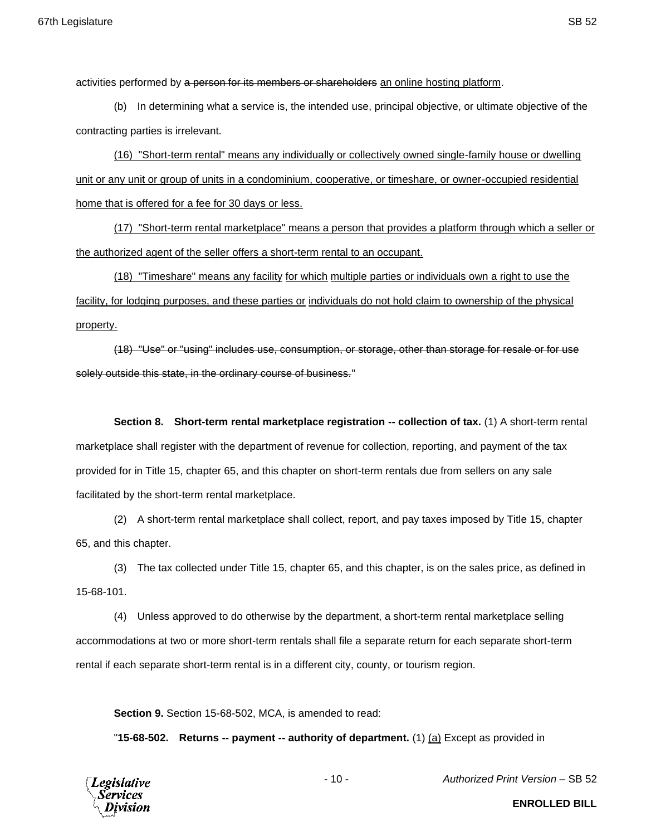activities performed by a person for its members or shareholders an online hosting platform.

(b) In determining what a service is, the intended use, principal objective, or ultimate objective of the contracting parties is irrelevant.

(16) "Short-term rental" means any individually or collectively owned single-family house or dwelling unit or any unit or group of units in a condominium, cooperative, or timeshare, or owner-occupied residential home that is offered for a fee for 30 days or less.

(17) "Short-term rental marketplace" means a person that provides a platform through which a seller or the authorized agent of the seller offers a short-term rental to an occupant.

(18) "Timeshare" means any facility for which multiple parties or individuals own a right to use the facility, for lodging purposes, and these parties or individuals do not hold claim to ownership of the physical property.

(18) "Use" or "using" includes use, consumption, or storage, other than storage for resale or for use solely outside this state, in the ordinary course of business."

**Section 8. Short-term rental marketplace registration -- collection of tax.** (1) A short-term rental marketplace shall register with the department of revenue for collection, reporting, and payment of the tax provided for in Title 15, chapter 65, and this chapter on short-term rentals due from sellers on any sale facilitated by the short-term rental marketplace.

(2) A short-term rental marketplace shall collect, report, and pay taxes imposed by Title 15, chapter 65, and this chapter.

(3) The tax collected under Title 15, chapter 65, and this chapter, is on the sales price, as defined in 15-68-101.

(4) Unless approved to do otherwise by the department, a short-term rental marketplace selling accommodations at two or more short-term rentals shall file a separate return for each separate short-term rental if each separate short-term rental is in a different city, county, or tourism region.

**Section 9.** Section 15-68-502, MCA, is amended to read:

"**15-68-502. Returns -- payment -- authority of department.** (1) (a) Except as provided in



- 10 - *Authorized Print Version* – SB 52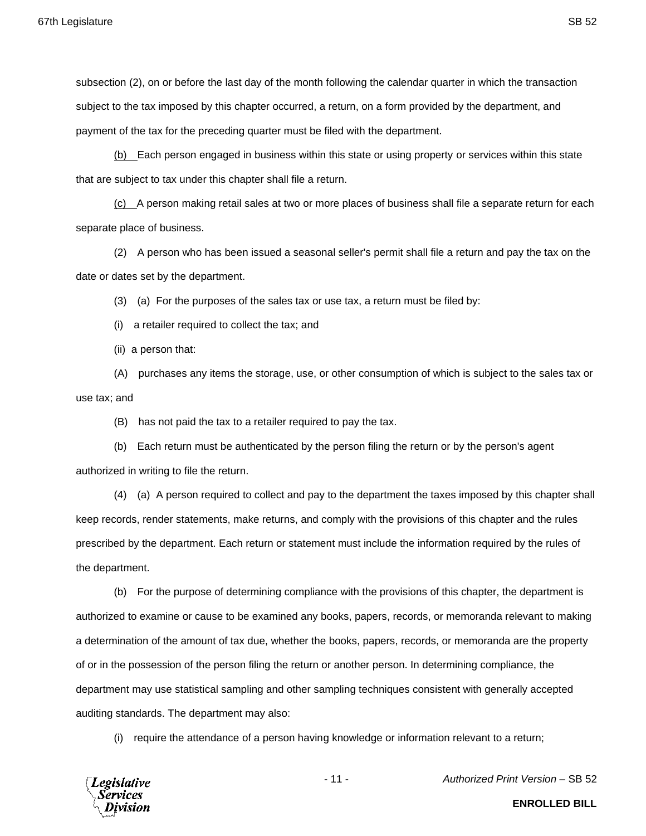payment of the tax for the preceding quarter must be filed with the department.

(b) Each person engaged in business within this state or using property or services within this state that are subject to tax under this chapter shall file a return.

 $(c)$  A person making retail sales at two or more places of business shall file a separate return for each separate place of business.

(2) A person who has been issued a seasonal seller's permit shall file a return and pay the tax on the date or dates set by the department.

(3) (a) For the purposes of the sales tax or use tax, a return must be filed by:

(i) a retailer required to collect the tax; and

(ii) a person that:

(A) purchases any items the storage, use, or other consumption of which is subject to the sales tax or use tax; and

(B) has not paid the tax to a retailer required to pay the tax.

(b) Each return must be authenticated by the person filing the return or by the person's agent authorized in writing to file the return.

(4) (a) A person required to collect and pay to the department the taxes imposed by this chapter shall keep records, render statements, make returns, and comply with the provisions of this chapter and the rules prescribed by the department. Each return or statement must include the information required by the rules of the department.

(b) For the purpose of determining compliance with the provisions of this chapter, the department is authorized to examine or cause to be examined any books, papers, records, or memoranda relevant to making a determination of the amount of tax due, whether the books, papers, records, or memoranda are the property of or in the possession of the person filing the return or another person. In determining compliance, the department may use statistical sampling and other sampling techniques consistent with generally accepted auditing standards. The department may also:

(i) require the attendance of a person having knowledge or information relevant to a return;



- 11 - *Authorized Print Version* – SB 52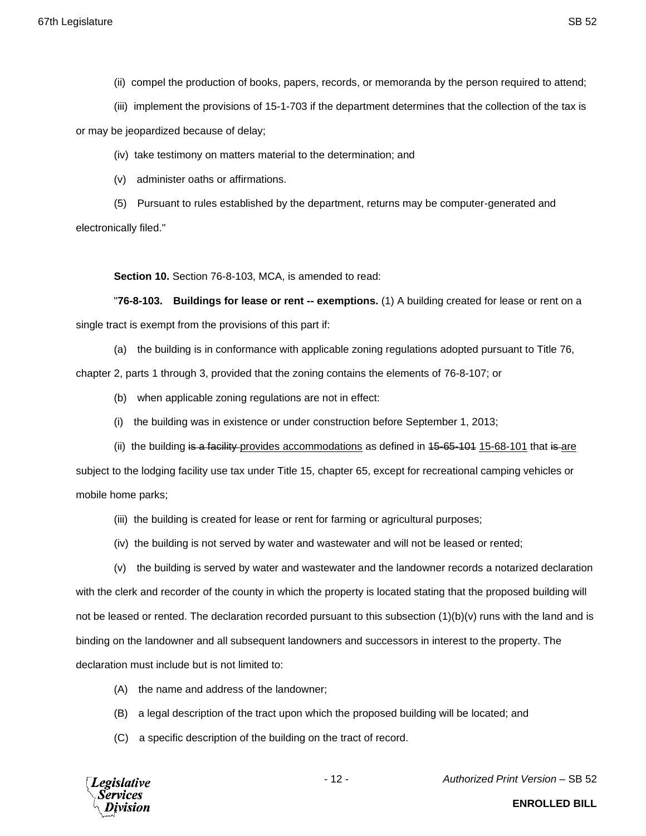(ii) compel the production of books, papers, records, or memoranda by the person required to attend;

(iii) implement the provisions of 15-1-703 if the department determines that the collection of the tax is

or may be jeopardized because of delay;

- (iv) take testimony on matters material to the determination; and
- (v) administer oaths or affirmations.
- (5) Pursuant to rules established by the department, returns may be computer-generated and

electronically filed."

**Section 10.** Section 76-8-103, MCA, is amended to read:

"**76-8-103. Buildings for lease or rent -- exemptions.** (1) A building created for lease or rent on a single tract is exempt from the provisions of this part if:

(a) the building is in conformance with applicable zoning regulations adopted pursuant to Title 76,

chapter 2, parts 1 through 3, provided that the zoning contains the elements of 76-8-107; or

- (b) when applicable zoning regulations are not in effect:
- (i) the building was in existence or under construction before September 1, 2013;
- (ii) the building is a facility provides accommodations as defined in 45-65-101 15-68-101 that is are subject to the lodging facility use tax under Title 15, chapter 65, except for recreational camping vehicles or mobile home parks;
	- (iii) the building is created for lease or rent for farming or agricultural purposes;
	- (iv) the building is not served by water and wastewater and will not be leased or rented;

(v) the building is served by water and wastewater and the landowner records a notarized declaration with the clerk and recorder of the county in which the property is located stating that the proposed building will not be leased or rented. The declaration recorded pursuant to this subsection (1)(b)(v) runs with the land and is binding on the landowner and all subsequent landowners and successors in interest to the property. The declaration must include but is not limited to:

- (A) the name and address of the landowner;
- (B) a legal description of the tract upon which the proposed building will be located; and
- (C) a specific description of the building on the tract of record.

**Legislative** Services

- 12 - *Authorized Print Version* – SB 52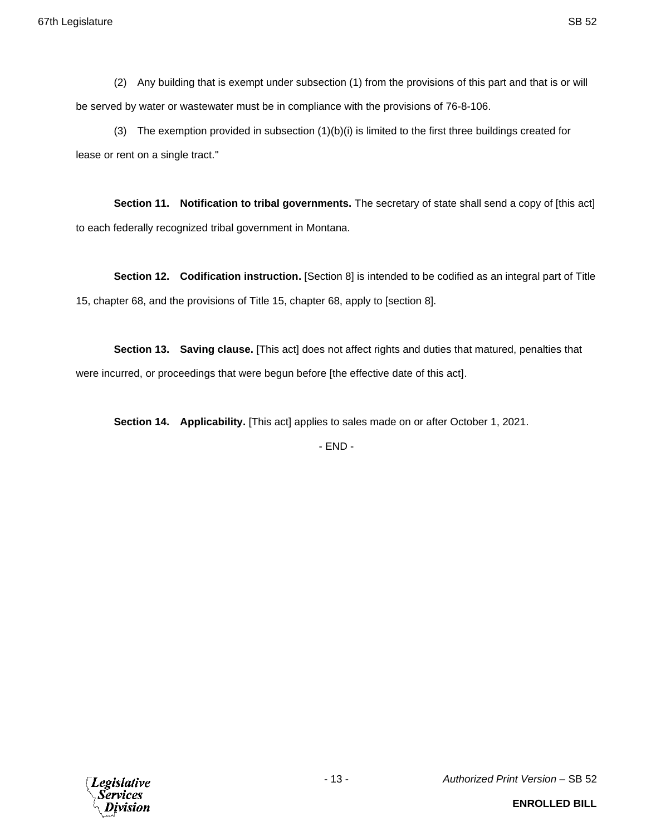(2) Any building that is exempt under subsection (1) from the provisions of this part and that is or will be served by water or wastewater must be in compliance with the provisions of 76-8-106.

(3) The exemption provided in subsection (1)(b)(i) is limited to the first three buildings created for lease or rent on a single tract."

**Section 11. Notification to tribal governments.** The secretary of state shall send a copy of [this act] to each federally recognized tribal government in Montana.

**Section 12. Codification instruction.** [Section 8] is intended to be codified as an integral part of Title 15, chapter 68, and the provisions of Title 15, chapter 68, apply to [section 8].

**Section 13. Saving clause.** [This act] does not affect rights and duties that matured, penalties that were incurred, or proceedings that were begun before [the effective date of this act].

**Section 14. Applicability.** [This act] applies to sales made on or after October 1, 2021.

- END -

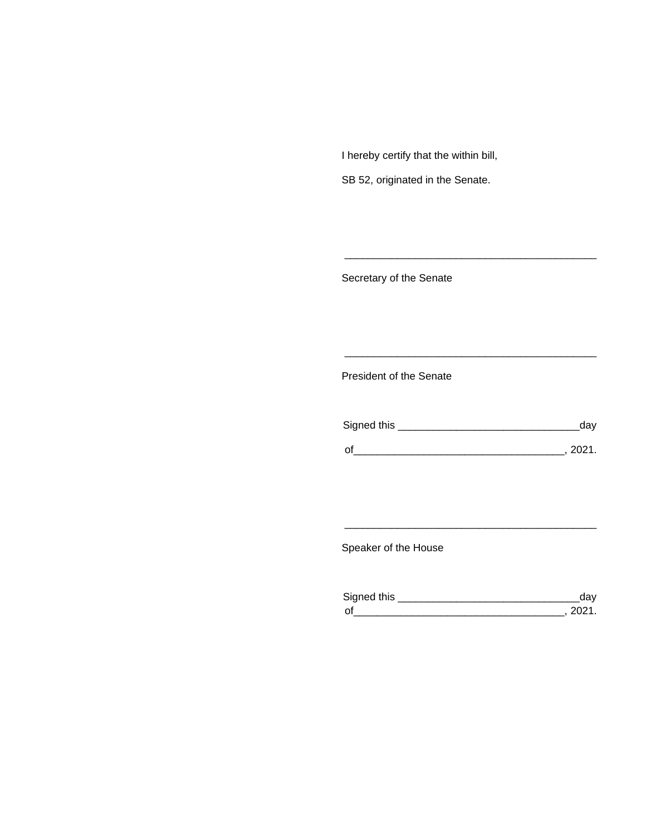I hereby certify that the within bill,

SB 52, originated in the Senate.

Secretary of the Senate

President of the Senate

| Signed this | uav    |
|-------------|--------|
|             | 111'11 |
| $\Omega$    |        |

\_\_\_\_\_\_\_\_\_\_\_\_\_\_\_\_\_\_\_\_\_\_\_\_\_\_\_\_\_\_\_\_\_\_\_\_\_\_\_\_\_\_\_

\_\_\_\_\_\_\_\_\_\_\_\_\_\_\_\_\_\_\_\_\_\_\_\_\_\_\_\_\_\_\_\_\_\_\_\_\_\_\_\_\_\_\_

Speaker of the House

| Signed this |  |
|-------------|--|
| $\Omega'$   |  |

\_\_\_\_\_\_\_\_\_\_\_\_\_\_\_\_\_\_\_\_\_\_\_\_\_\_\_\_\_\_\_\_\_\_\_\_\_\_\_\_\_\_\_